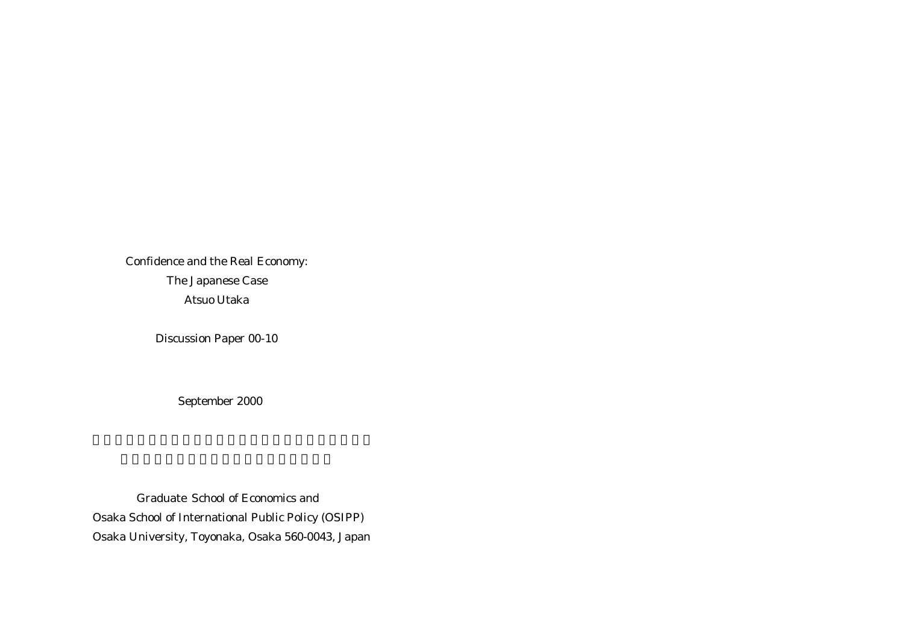Confidence and the Real Economy: The Japanese Case Atsuo Utaka

Discussion Paper 00-10

September 2000

 Graduate School of Economics and Osaka School of International Public Policy (OSIPP) Osaka University, Toyonaka, Osaka 560-0043, Japan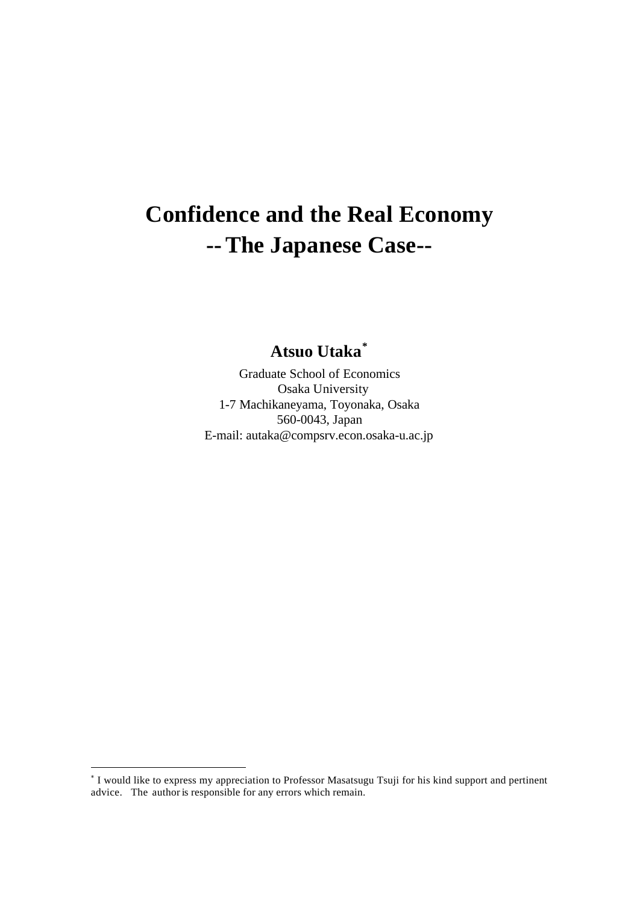# **Confidence and the Real Economy --The Japanese Case--**

**Atsuo Utaka\***

Graduate School of Economics Osaka University 1-7 Machikaneyama, Toyonaka, Osaka 560-0043, Japan E-mail: autaka@compsrv.econ.osaka-u.ac.jp

<sup>\*</sup> I would like to express my appreciation to Professor Masatsugu Tsuji for his kind support and pertinent advice. The author is responsible for any errors which remain.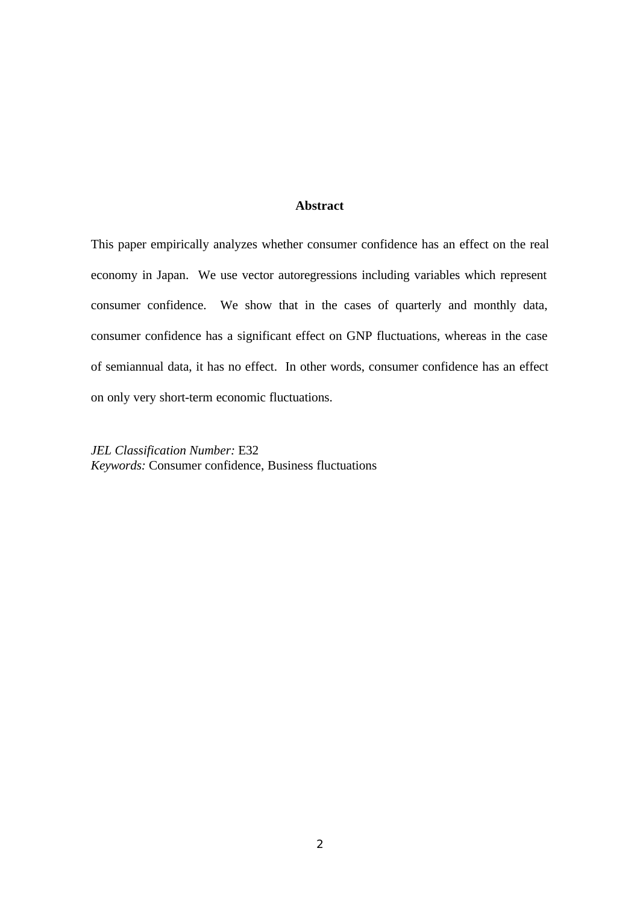# **Abstract**

This paper empirically analyzes whether consumer confidence has an effect on the real economy in Japan. We use vector autoregressions including variables which represent consumer confidence. We show that in the cases of quarterly and monthly data, consumer confidence has a significant effect on GNP fluctuations, whereas in the case of semiannual data, it has no effect. In other words, consumer confidence has an effect on only very short-term economic fluctuations.

*JEL Classification Number:* E32 *Keywords:* Consumer confidence, Business fluctuations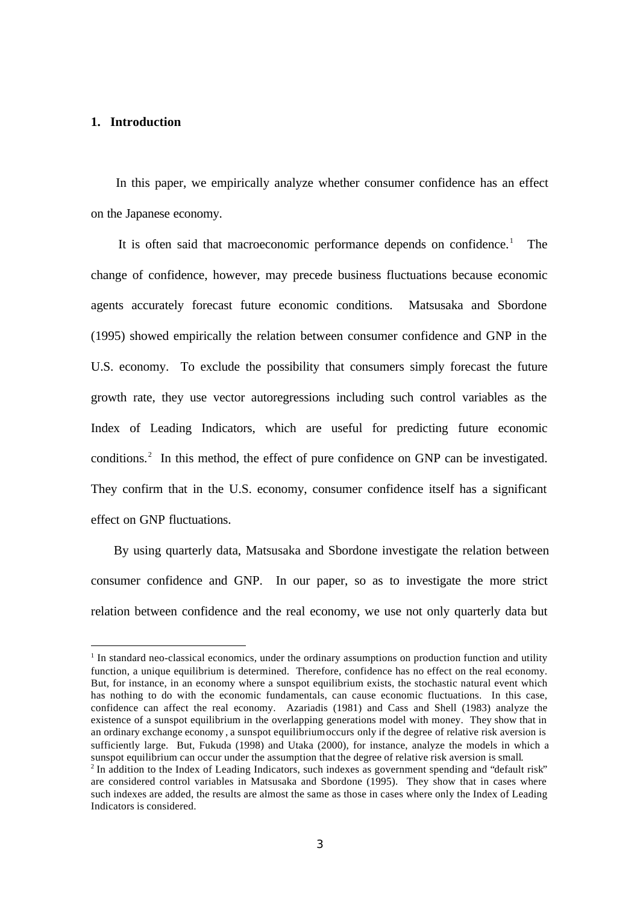### **1. Introduction**

 $\overline{a}$ 

 In this paper, we empirically analyze whether consumer confidence has an effect on the Japanese economy.

It is often said that macroeconomic performance depends on confidence.<sup>1</sup> The change of confidence, however, may precede business fluctuations because economic agents accurately forecast future economic conditions. Matsusaka and Sbordone (1995) showed empirically the relation between consumer confidence and GNP in the U.S. economy. To exclude the possibility that consumers simply forecast the future growth rate, they use vector autoregressions including such control variables as the Index of Leading Indicators, which are useful for predicting future economic conditions.<sup>2</sup> In this method, the effect of pure confidence on GNP can be investigated. They confirm that in the U.S. economy, consumer confidence itself has a significant effect on GNP fluctuations.

 By using quarterly data, Matsusaka and Sbordone investigate the relation between consumer confidence and GNP. In our paper, so as to investigate the more strict relation between confidence and the real economy, we use not only quarterly data but

<sup>&</sup>lt;sup>1</sup> In standard neo-classical economics, under the ordinary assumptions on production function and utility function, a unique equilibrium is determined. Therefore, confidence has no effect on the real economy. But, for instance, in an economy where a sunspot equilibrium exists, the stochastic natural event which has nothing to do with the economic fundamentals, can cause economic fluctuations. In this case, confidence can affect the real economy. Azariadis (1981) and Cass and Shell (1983) analyze the existence of a sunspot equilibrium in the overlapping generations model with money. They show that in an ordinary exchange economy , a sunspot equilibriumoccurs only if the degree of relative risk aversion is sufficiently large. But, Fukuda (1998) and Utaka (2000), for instance, analyze the models in which a sunspot equilibrium can occur under the assumption that the degree of relative risk aversion is small. <sup>2</sup> In addition to the Index of Leading Indicators, such indexes as government spending and "default risk" are considered control variables in Matsusaka and Sbordone (1995). They show that in cases where such indexes are added, the results are almost the same as those in cases where only the Index of Leading Indicators is considered.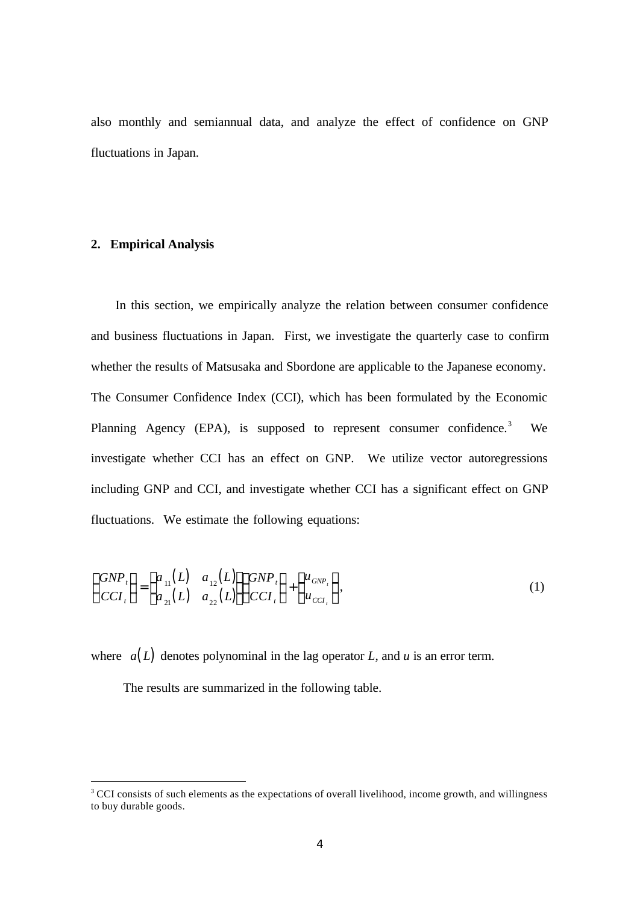also monthly and semiannual data, and analyze the effect of confidence on GNP fluctuations in Japan.

## **2. Empirical Analysis**

 $\overline{a}$ 

 In this section, we empirically analyze the relation between consumer confidence and business fluctuations in Japan. First, we investigate the quarterly case to confirm whether the results of Matsusaka and Sbordone are applicable to the Japanese economy. The Consumer Confidence Index (CCI), which has been formulated by the Economic Planning Agency (EPA), is supposed to represent consumer confidence.<sup>3</sup> We investigate whether CCI has an effect on GNP. We utilize vector autoregressions including GNP and CCI, and investigate whether CCI has a significant effect on GNP fluctuations. We estimate the following equations:

$$
\begin{pmatrix} GNP_t \\ CCI_t \end{pmatrix} = \begin{pmatrix} a_{11}(L) & a_{12}(L) \\ a_{21}(L) & a_{22}(L) \end{pmatrix} \begin{pmatrix} GNP_t \\ CCI_t \end{pmatrix} + \begin{pmatrix} u_{GNP_t} \\ u_{CCI_t} \end{pmatrix},
$$
\n(1)

where  $a(L)$  denotes polynominal in the lag operator *L*, and *u* is an error term.

The results are summarized in the following table.

<sup>&</sup>lt;sup>3</sup> CCI consists of such elements as the expectations of overall livelihood, income growth, and willingness to buy durable goods.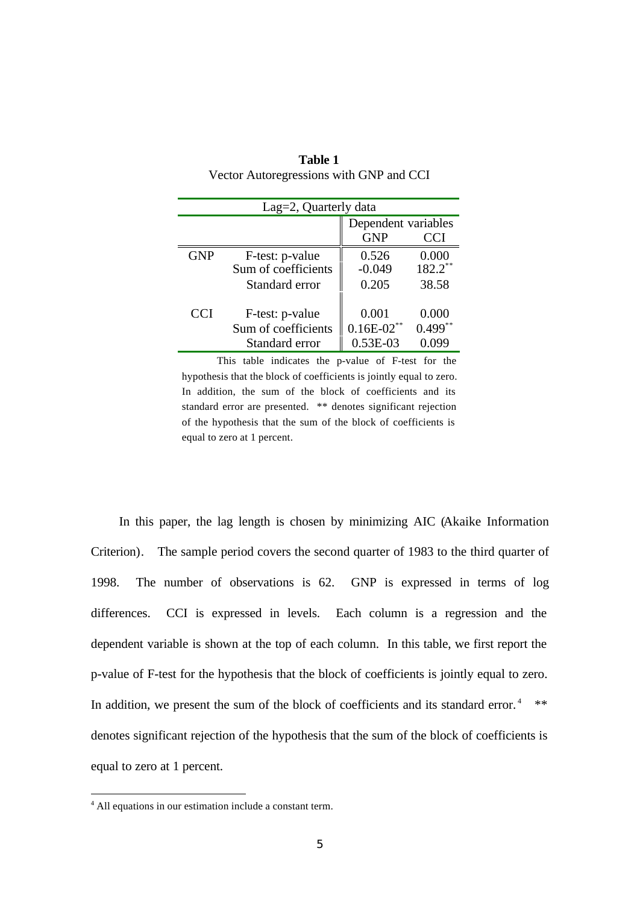| Lag=2, Quarterly data |                                                          |                                          |                              |  |  |  |
|-----------------------|----------------------------------------------------------|------------------------------------------|------------------------------|--|--|--|
|                       |                                                          | Dependent variables<br><b>GNP</b><br>CCI |                              |  |  |  |
| <b>GNP</b>            | F-test: p-value<br>Sum of coefficients<br>Standard error | 0.526<br>$-0.049$<br>0.205               | 0.000<br>$182.2$ **<br>38.58 |  |  |  |
| CCI                   | F-test: p-value<br>Sum of coefficients<br>Standard error | 0.001<br>$0.16E-02$ **<br>$0.53E-03$     | 0.000<br>$0.499**$           |  |  |  |

| Table 1                                 |
|-----------------------------------------|
| Vector Autoregressions with GNP and CCI |

 This table indicates the p-value of F-test for the hypothesis that the block of coefficients is jointly equal to zero. In addition, the sum of the block of coefficients and its standard error are presented. \*\* denotes significant rejection of the hypothesis that the sum of the block of coefficients is equal to zero at 1 percent.

 In this paper, the lag length is chosen by minimizing AIC (Akaike Information Criterion). The sample period covers the second quarter of 1983 to the third quarter of 1998. The number of observations is 62. GNP is expressed in terms of log differences. CCI is expressed in levels. Each column is a regression and the dependent variable is shown at the top of each column. In this table, we first report the p-value of F-test for the hypothesis that the block of coefficients is jointly equal to zero. In addition, we present the sum of the block of coefficients and its standard error.<sup>4</sup>  $**$ denotes significant rejection of the hypothesis that the sum of the block of coefficients is equal to zero at 1 percent.

<sup>4</sup> All equations in our estimation include a constant term.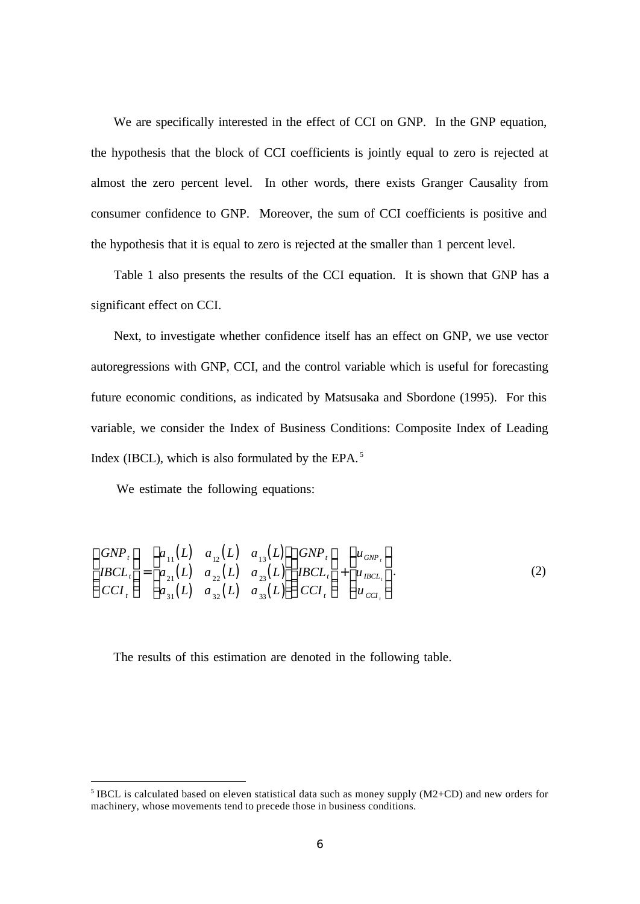We are specifically interested in the effect of CCI on GNP. In the GNP equation, the hypothesis that the block of CCI coefficients is jointly equal to zero is rejected at almost the zero percent level. In other words, there exists Granger Causality from consumer confidence to GNP. Moreover, the sum of CCI coefficients is positive and the hypothesis that it is equal to zero is rejected at the smaller than 1 percent level.

 Table 1 also presents the results of the CCI equation. It is shown that GNP has a significant effect on CCI.

 Next, to investigate whether confidence itself has an effect on GNP, we use vector autoregressions with GNP, CCI, and the control variable which is useful for forecasting future economic conditions, as indicated by Matsusaka and Sbordone (1995). For this variable, we consider the Index of Business Conditions: Composite Index of Leading Index (IBCL), which is also formulated by the EPA. $<sup>5</sup>$ </sup>

We estimate the following equations:

 $\overline{a}$ 

$$
\begin{pmatrix}\nGNP_t \\
IBCL_t \\
CCI_t\n\end{pmatrix} = \begin{pmatrix}\na_{11}(L) & a_{12}(L) & a_{13}(L) \\
a_{21}(L) & a_{22}(L) & a_{23}(L) \\
a_{31}(L) & a_{32}(L) & a_{33}(L)\n\end{pmatrix} \begin{pmatrix}\nGNP_t \\
IBCL_t \\
u_{BCL_t}\n\end{pmatrix} + \begin{pmatrix}\nu_{GNP_t} \\
u_{BCL_t} \\
u_{CCL_t}\n\end{pmatrix}.
$$
\n(2)

The results of this estimation are denoted in the following table.

<sup>&</sup>lt;sup>5</sup> IBCL is calculated based on eleven statistical data such as money supply  $(M2+CD)$  and new orders for machinery, whose movements tend to precede those in business conditions.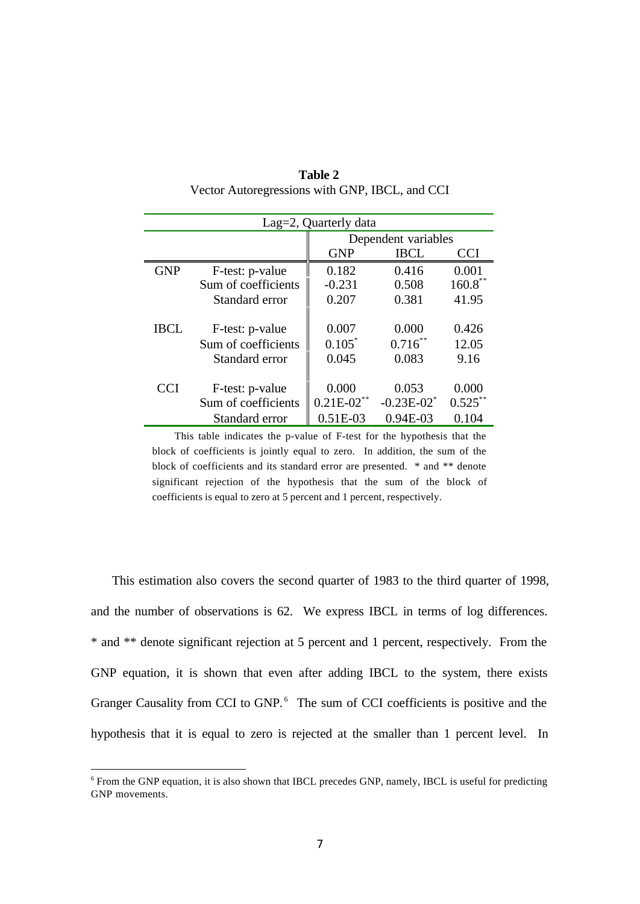| Lag=2, Quarterly data |                     |                           |                 |            |  |  |
|-----------------------|---------------------|---------------------------|-----------------|------------|--|--|
|                       |                     | Dependent variables       |                 |            |  |  |
|                       |                     | <b>GNP</b><br>IBCL<br>CCI |                 |            |  |  |
| <b>GNP</b>            | F-test: p-value     | 0.182                     | 0.416           | 0.001      |  |  |
|                       | Sum of coefficients | $-0.231$                  | 0.508           | $160.8***$ |  |  |
|                       | Standard error      | 0.207                     | 0.381           | 41.95      |  |  |
| <b>IBCL</b>           | F-test: p-value     | 0.007                     | 0.000           | 0.426      |  |  |
|                       | Sum of coefficients | $0.105^*$                 | $0.716^{**}$    | 12.05      |  |  |
|                       | Standard error      | 0.045                     | 0.083           | 9.16       |  |  |
| <b>CCI</b>            | F-test: p-value     | 0.000                     | 0.053           | 0.000      |  |  |
|                       | Sum of coefficients | $0.21E - 02$ **           | $-0.23E - 02^*$ | $0.525***$ |  |  |
|                       | Standard error      | $0.51E-03$                | $0.94E-03$      | 0.104      |  |  |

**Table 2** Vector Autoregressions with GNP, IBCL, and CCI

 This table indicates the p-value of F-test for the hypothesis that the block of coefficients is jointly equal to zero. In addition, the sum of the block of coefficients and its standard error are presented. \* and \*\* denote significant rejection of the hypothesis that the sum of the block of coefficients is equal to zero at 5 percent and 1 percent, respectively.

 This estimation also covers the second quarter of 1983 to the third quarter of 1998, and the number of observations is 62. We express IBCL in terms of log differences. \* and \*\* denote significant rejection at 5 percent and 1 percent, respectively. From the GNP equation, it is shown that even after adding IBCL to the system, there exists Granger Causality from CCI to GNP.<sup>6</sup> The sum of CCI coefficients is positive and the hypothesis that it is equal to zero is rejected at the smaller than 1 percent level. In

<sup>&</sup>lt;sup>6</sup> From the GNP equation, it is also shown that IBCL precedes GNP, namely, IBCL is useful for predicting GNP movements.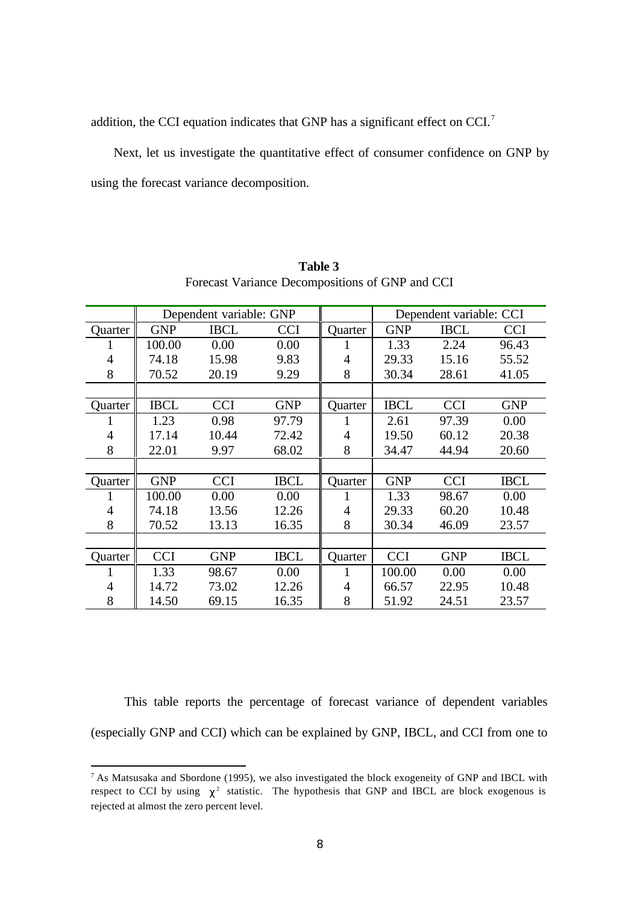addition, the CCI equation indicates that GNP has a significant effect on CCI.<sup>7</sup>

 Next, let us investigate the quantitative effect of consumer confidence on GNP by using the forecast variance decomposition.

|                | Dependent variable: GNP |             |             | Dependent variable: CCI |             |             |             |
|----------------|-------------------------|-------------|-------------|-------------------------|-------------|-------------|-------------|
| Quarter        | <b>GNP</b>              | <b>IBCL</b> | CCI         | <b>Quarter</b>          | <b>GNP</b>  | <b>IBCL</b> | <b>CCI</b>  |
| 1              | 100.00                  | 0.00        | 0.00        | 1                       | 1.33        | 2.24        | 96.43       |
| $\overline{4}$ | 74.18                   | 15.98       | 9.83        | $\overline{4}$          | 29.33       | 15.16       | 55.52       |
| 8              | 70.52                   | 20.19       | 9.29        | 8                       | 30.34       | 28.61       | 41.05       |
|                |                         |             |             |                         |             |             |             |
| Quarter        | <b>IBCL</b>             | <b>CCI</b>  | <b>GNP</b>  | Quarter                 | <b>IBCL</b> | <b>CCI</b>  | <b>GNP</b>  |
| 1              | 1.23                    | 0.98        | 97.79       |                         | 2.61        | 97.39       | 0.00        |
| $\overline{4}$ | 17.14                   | 10.44       | 72.42       | 4                       | 19.50       | 60.12       | 20.38       |
| 8              | 22.01                   | 9.97        | 68.02       | 8                       | 34.47       | 44.94       | 20.60       |
|                |                         |             |             |                         |             |             |             |
| Quarter        | <b>GNP</b>              | <b>CCI</b>  | <b>IBCL</b> | Quarter                 | <b>GNP</b>  | <b>CCI</b>  | <b>IBCL</b> |
| $\mathbf{I}$   | 100.00                  | 0.00        | 0.00        |                         | 1.33        | 98.67       | 0.00        |
| $\overline{4}$ | 74.18                   | 13.56       | 12.26       | 4                       | 29.33       | 60.20       | 10.48       |
| 8              | 70.52                   | 13.13       | 16.35       | 8                       | 30.34       | 46.09       | 23.57       |
|                |                         |             |             |                         |             |             |             |
| Quarter        | <b>CCI</b>              | <b>GNP</b>  | <b>IBCL</b> | Quarter                 | <b>CCI</b>  | <b>GNP</b>  | <b>IBCL</b> |
| 1              | 1.33                    | 98.67       | 0.00        |                         | 100.00      | 0.00        | 0.00        |
| $\overline{4}$ | 14.72                   | 73.02       | 12.26       | 4                       | 66.57       | 22.95       | 10.48       |
| 8              | 14.50                   | 69.15       | 16.35       | 8                       | 51.92       | 24.51       | 23.57       |

**Table 3** Forecast Variance Decompositions of GNP and CCI

 This table reports the percentage of forecast variance of dependent variables (especially GNP and CCI) which can be explained by GNP, IBCL, and CCI from one to

 $^7$  As Matsusaka and Sbordone (1995), we also investigated the block exogeneity of GNP and IBCL with respect to CCI by using  $c^2$  statistic. The hypothesis that GNP and IBCL are block exogenous is rejected at almost the zero percent level.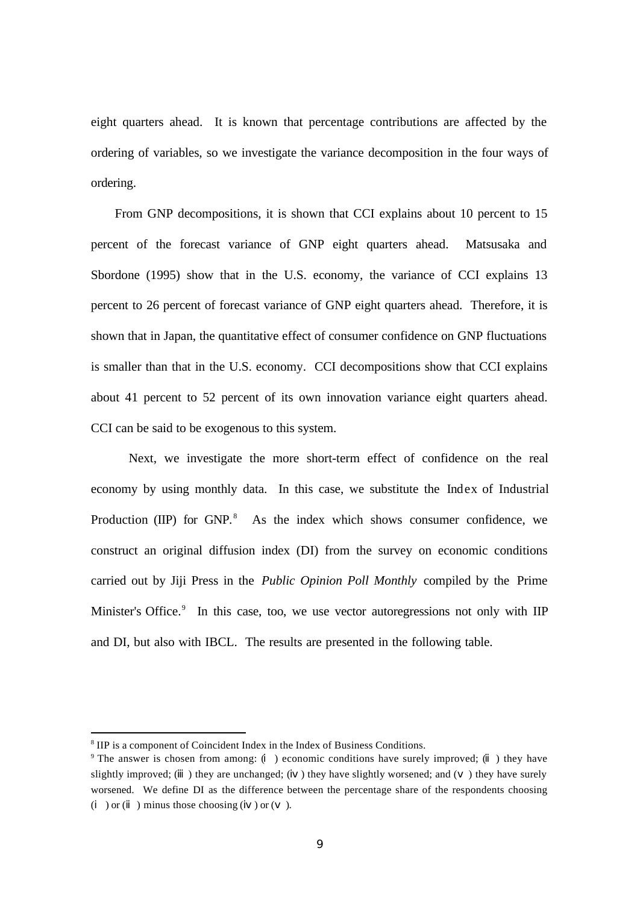eight quarters ahead. It is known that percentage contributions are affected by the ordering of variables, so we investigate the variance decomposition in the four ways of ordering.

 From GNP decompositions, it is shown that CCI explains about 10 percent to 15 percent of the forecast variance of GNP eight quarters ahead. Matsusaka and Sbordone (1995) show that in the U.S. economy, the variance of CCI explains 13 percent to 26 percent of forecast variance of GNP eight quarters ahead. Therefore, it is shown that in Japan, the quantitative effect of consumer confidence on GNP fluctuations is smaller than that in the U.S. economy. CCI decompositions show that CCI explains about 41 percent to 52 percent of its own innovation variance eight quarters ahead. CCI can be said to be exogenous to this system.

 Next, we investigate the more short-term effect of confidence on the real economy by using monthly data. In this case, we substitute the Index of Industrial Production (IIP) for GNP.<sup>8</sup> As the index which shows consumer confidence, we construct an original diffusion index (DI) from the survey on economic conditions carried out by Jiji Press in the *Public Opinion Poll Monthly* compiled by the Prime Minister's Office.<sup>9</sup> In this case, too, we use vector autoregressions not only with IIP and DI, but also with IBCL. The results are presented in the following table.

<sup>&</sup>lt;sup>8</sup> IIP is a component of Coincident Index in the Index of Business Conditions.

<sup>9</sup> The answer is chosen from among: ( ) economic conditions have surely improved; ( ) they have slightly improved; () they are unchanged; () they have slightly worsened; and () they have surely worsened. We define DI as the difference between the percentage share of the respondents choosing  $($   $)$  or  $($   $)$  minus those choosing  $($   $)$  or  $($   $)$ .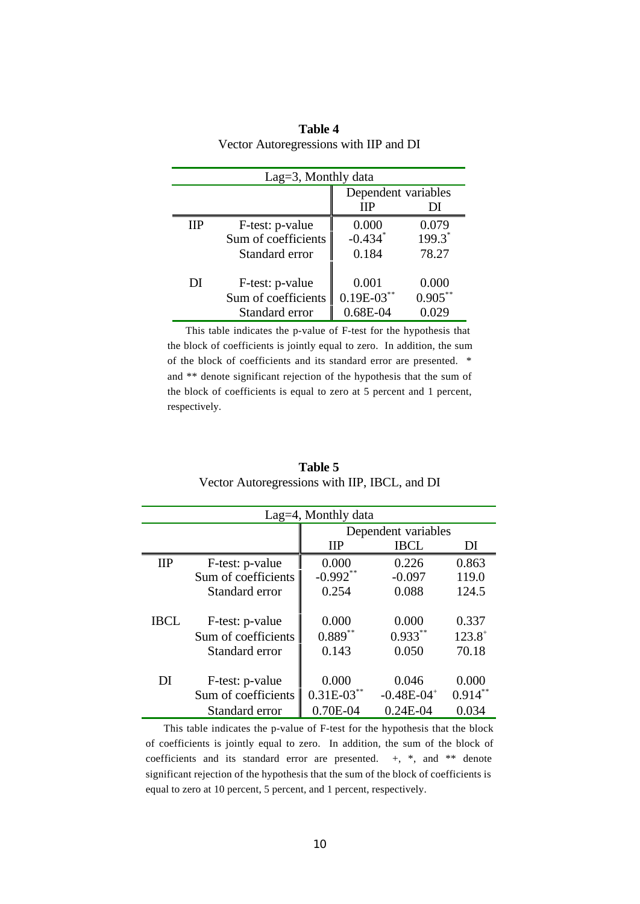| Lag=3, Monthly data |                     |                       |            |  |  |
|---------------------|---------------------|-----------------------|------------|--|--|
|                     |                     | Dependent variables   |            |  |  |
|                     |                     | ПP                    | DI         |  |  |
| ШP                  | F-test: p-value     | 0.000                 | 0.079      |  |  |
|                     | Sum of coefficients | $-0.434$ <sup>*</sup> | $199.3^*$  |  |  |
|                     | Standard error      | 0.184                 | 78.27      |  |  |
|                     |                     |                       |            |  |  |
| DI                  | F-test: p-value     | 0.001                 | 0.000      |  |  |
|                     | Sum of coefficients | $0.19E-03$ **         | $0.905***$ |  |  |
|                     | Standard error      | $0.68E - 04$          |            |  |  |

**Table 4** Vector Autoregressions with IIP and DI

 This table indicates the p-value of F-test for the hypothesis that the block of coefficients is jointly equal to zero. In addition, the sum of the block of coefficients and its standard error are presented. \* and \*\* denote significant rejection of the hypothesis that the sum of the block of coefficients is equal to zero at 5 percent and 1 percent, respectively.

| Lag $=$ 4, Monthly data |                     |                     |                            |            |  |  |
|-------------------------|---------------------|---------------------|----------------------------|------------|--|--|
|                         |                     | Dependent variables |                            |            |  |  |
|                         |                     | <b>IIP</b>          | <b>IBCL</b>                | DI         |  |  |
| $_{\rm IIP}$            | F-test: p-value     | 0.000               | 0.226                      | 0.863      |  |  |
|                         | Sum of coefficients | $-0.992**$          | $-0.097$                   | 119.0      |  |  |
|                         | Standard error      | 0.254               | 0.088                      | 124.5      |  |  |
|                         |                     |                     |                            |            |  |  |
| IBCL.                   | F-test: p-value     | 0.000               | 0.000                      | 0.337      |  |  |
|                         | Sum of coefficients | $0.889**$           | $0.933**$                  | $123.8^+$  |  |  |
|                         | Standard error      | 0.143               | 0.050                      | 70.18      |  |  |
|                         |                     |                     |                            |            |  |  |
| DI                      | F-test: p-value     | 0.000               | 0.046                      | 0.000      |  |  |
|                         | Sum of coefficients | $0.31E-03$ **       | $-0.48E - 04$ <sup>+</sup> | $0.914***$ |  |  |
|                         | Standard error      | $0.70E-04$          | $0.24E-04$                 | 0.034      |  |  |

**Table 5** Vector Autoregressions with IIP, IBCL, and DI

 This table indicates the p-value of F-test for the hypothesis that the block of coefficients is jointly equal to zero. In addition, the sum of the block of coefficients and its standard error are presented.  $+,$  \*, and \*\* denote significant rejection of the hypothesis that the sum of the block of coefficients is equal to zero at 10 percent, 5 percent, and 1 percent, respectively.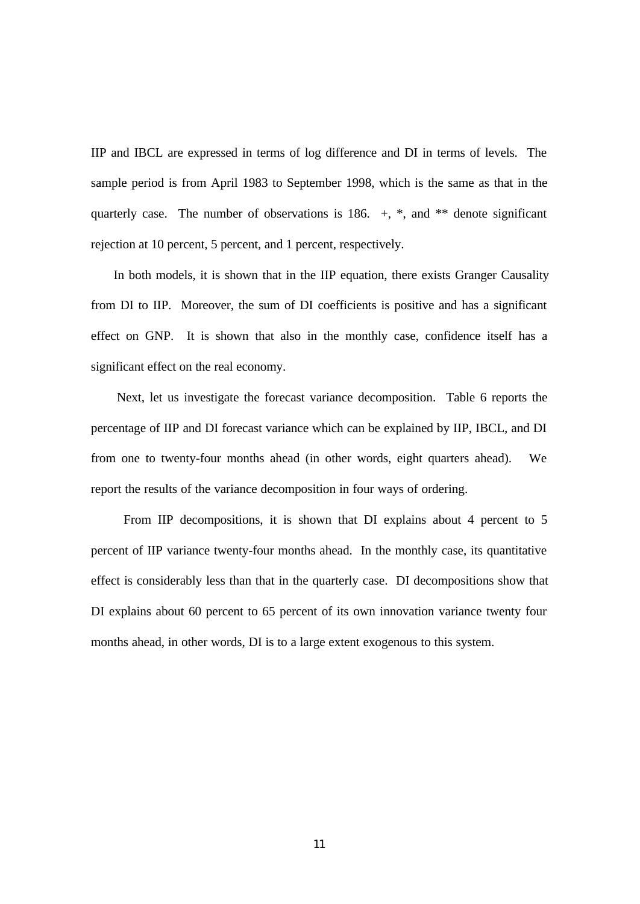IIP and IBCL are expressed in terms of log difference and DI in terms of levels. The sample period is from April 1983 to September 1998, which is the same as that in the quarterly case. The number of observations is 186.  $+, *$ , and  $**$  denote significant rejection at 10 percent, 5 percent, and 1 percent, respectively.

 In both models, it is shown that in the IIP equation, there exists Granger Causality from DI to IIP. Moreover, the sum of DI coefficients is positive and has a significant effect on GNP. It is shown that also in the monthly case, confidence itself has a significant effect on the real economy.

 Next, let us investigate the forecast variance decomposition. Table 6 reports the percentage of IIP and DI forecast variance which can be explained by IIP, IBCL, and DI from one to twenty-four months ahead (in other words, eight quarters ahead). We report the results of the variance decomposition in four ways of ordering.

 From IIP decompositions, it is shown that DI explains about 4 percent to 5 percent of IIP variance twenty-four months ahead. In the monthly case, its quantitative effect is considerably less than that in the quarterly case. DI decompositions show that DI explains about 60 percent to 65 percent of its own innovation variance twenty four months ahead, in other words, DI is to a large extent exogenous to this system.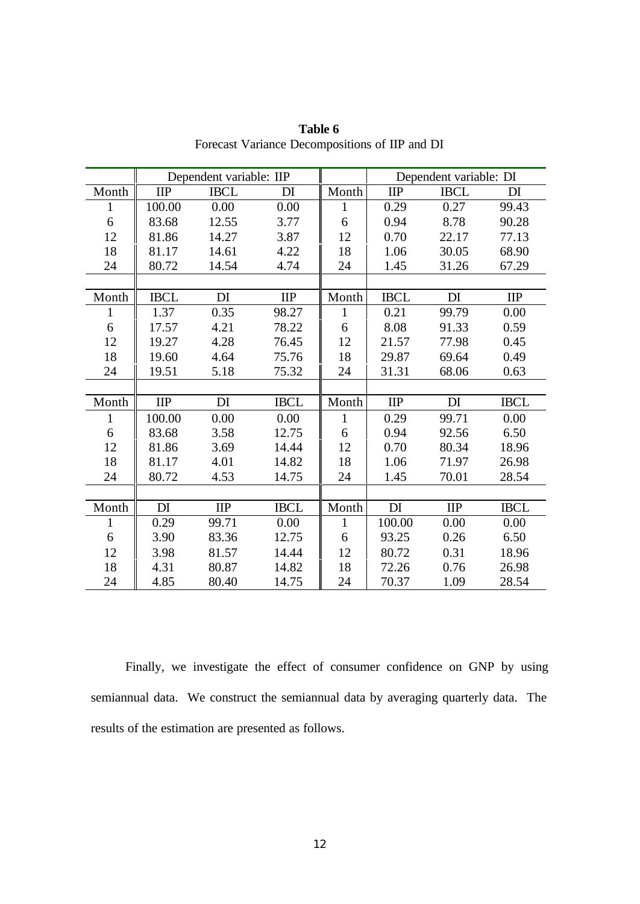|              | Dependent variable: IIP |             |             | Dependent variable: DI |             |             |              |
|--------------|-------------------------|-------------|-------------|------------------------|-------------|-------------|--------------|
| Month        | <b>IIP</b>              | <b>IBCL</b> | DI          | Month                  | <b>IIP</b>  | <b>IBCL</b> | DI           |
| $\mathbf{1}$ | 100.00                  | 0.00        | 0.00        | 1                      | 0.29        | 0.27        | 99.43        |
| 6            | 83.68                   | 12.55       | 3.77        | 6                      | 0.94        | 8.78        | 90.28        |
| 12           | 81.86                   | 14.27       | 3.87        | 12                     | 0.70        | 22.17       | 77.13        |
| 18           | 81.17                   | 14.61       | 4.22        | 18                     | 1.06        | 30.05       | 68.90        |
| 24           | 80.72                   | 14.54       | 4.74        | 24                     | 1.45        | 31.26       | 67.29        |
|              |                         |             |             |                        |             |             |              |
| Month        | <b>IBCL</b>             | DI          | $\text{HP}$ | Month                  | <b>IBCL</b> | DI          | $\mathbf{H}$ |
| $\mathbf{1}$ | 1.37                    | 0.35        | 98.27       | $\mathbf{1}$           | 0.21        | 99.79       | 0.00         |
| 6            | 17.57                   | 4.21        | 78.22       | 6                      | 8.08        | 91.33       | 0.59         |
| 12           | 19.27                   | 4.28        | 76.45       | 12                     | 21.57       | 77.98       | 0.45         |
| 18           | 19.60                   | 4.64        | 75.76       | 18                     | 29.87       | 69.64       | 0.49         |
| 24           | 19.51                   | 5.18        | 75.32       | 24                     | 31.31       | 68.06       | 0.63         |
|              |                         |             |             |                        |             |             |              |
| Month        | $\text{HP}$             | DI          | <b>IBCL</b> | Month                  | $\rm IIP$   | DI          | <b>IBCL</b>  |
| $\mathbf{1}$ | 100.00                  | 0.00        | 0.00        | 1                      | 0.29        | 99.71       | 0.00         |
| 6            | 83.68                   | 3.58        | 12.75       | 6                      | 0.94        | 92.56       | 6.50         |
| 12           | 81.86                   | 3.69        | 14.44       | 12                     | 0.70        | 80.34       | 18.96        |
| 18           | 81.17                   | 4.01        | 14.82       | 18                     | 1.06        | 71.97       | 26.98        |
| 24           | 80.72                   | 4.53        | 14.75       | 24                     | 1.45        | 70.01       | 28.54        |
|              |                         |             |             |                        |             |             |              |
| Month        | DI                      | $\text{HP}$ | <b>IBCL</b> | Month                  | DI          | $\text{HP}$ | <b>IBCL</b>  |
| 1            | 0.29                    | 99.71       | 0.00        | 1                      | 100.00      | 0.00        | 0.00         |
| 6            | 3.90                    | 83.36       | 12.75       | 6                      | 93.25       | 0.26        | 6.50         |
| 12           | 3.98                    | 81.57       | 14.44       | 12                     | 80.72       | 0.31        | 18.96        |
| 18           | 4.31                    | 80.87       | 14.82       | 18                     | 72.26       | 0.76        | 26.98        |
| 24           | 4.85                    | 80.40       | 14.75       | 24                     | 70.37       | 1.09        | 28.54        |

**Table 6** Forecast Variance Decompositions of IIP and DI

 Finally, we investigate the effect of consumer confidence on GNP by using semiannual data. We construct the semiannual data by averaging quarterly data. The results of the estimation are presented as follows.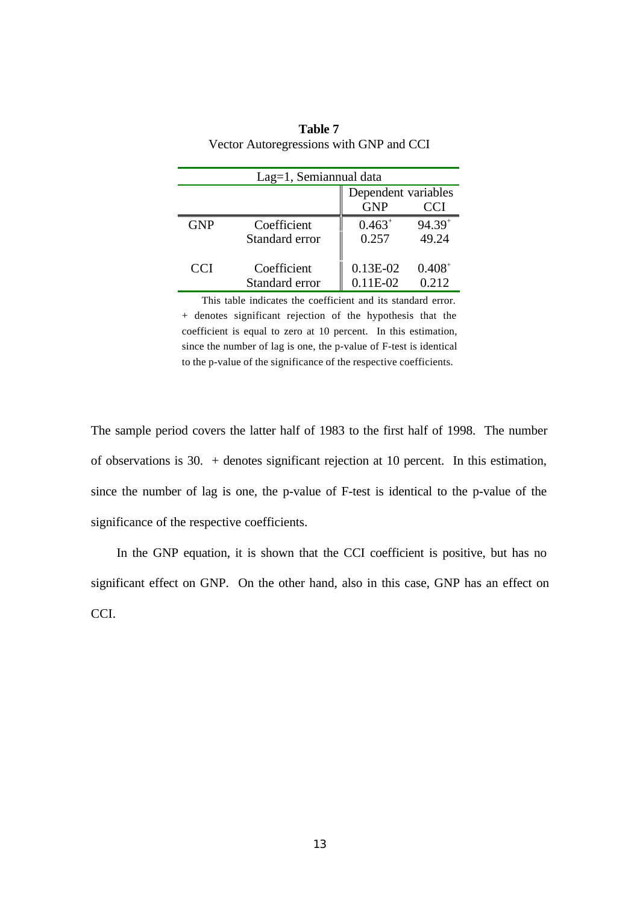| Lag=1, Semiannual data |                |                                                 |             |  |  |  |
|------------------------|----------------|-------------------------------------------------|-------------|--|--|--|
|                        |                | Dependent variables<br><b>GNP</b><br><b>CCI</b> |             |  |  |  |
|                        |                |                                                 |             |  |  |  |
| <b>GNP</b>             | Coefficient    | $0.463^{+}$                                     | $94.39^{+}$ |  |  |  |
|                        | Standard error | 0.257                                           | 49.24       |  |  |  |
|                        |                |                                                 |             |  |  |  |
| <b>CCI</b>             | Coefficient    | $0.13E-02$                                      | $0.408^{+}$ |  |  |  |
|                        | Standard error | $0.11E-02$                                      | 0.212       |  |  |  |

**Table 7** Vector Autoregressions with GNP and CCI

 This table indicates the coefficient and its standard error. + denotes significant rejection of the hypothesis that the coefficient is equal to zero at 10 percent. In this estimation, since the number of lag is one, the p-value of F-test is identical to the p-value of the significance of the respective coefficients.

The sample period covers the latter half of 1983 to the first half of 1998. The number of observations is 30. + denotes significant rejection at 10 percent. In this estimation, since the number of lag is one, the p-value of F-test is identical to the p-value of the significance of the respective coefficients.

 In the GNP equation, it is shown that the CCI coefficient is positive, but has no significant effect on GNP. On the other hand, also in this case, GNP has an effect on CCI.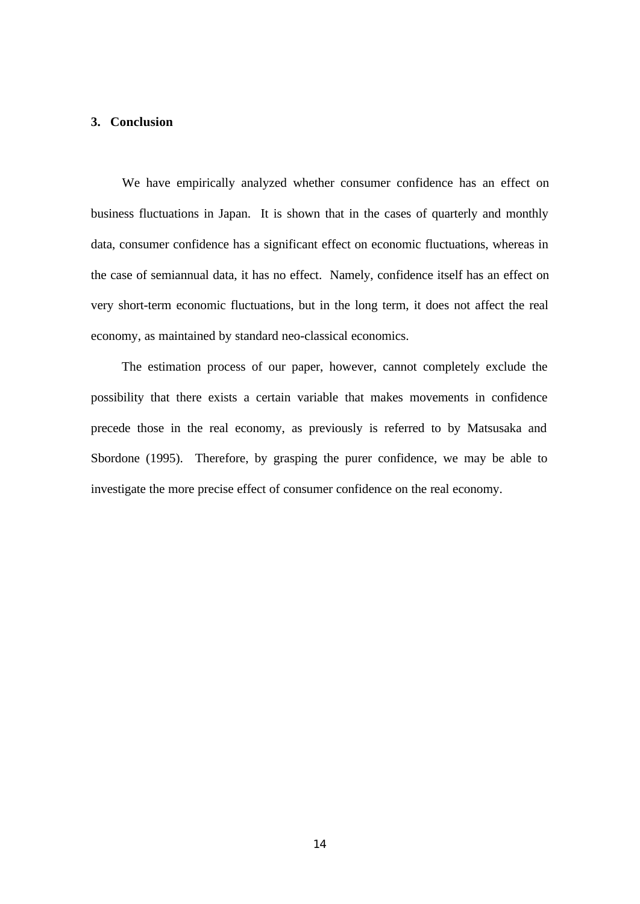### **3. Conclusion**

 We have empirically analyzed whether consumer confidence has an effect on business fluctuations in Japan. It is shown that in the cases of quarterly and monthly data, consumer confidence has a significant effect on economic fluctuations, whereas in the case of semiannual data, it has no effect. Namely, confidence itself has an effect on very short-term economic fluctuations, but in the long term, it does not affect the real economy, as maintained by standard neo-classical economics.

 The estimation process of our paper, however, cannot completely exclude the possibility that there exists a certain variable that makes movements in confidence precede those in the real economy, as previously is referred to by Matsusaka and Sbordone (1995). Therefore, by grasping the purer confidence, we may be able to investigate the more precise effect of consumer confidence on the real economy.